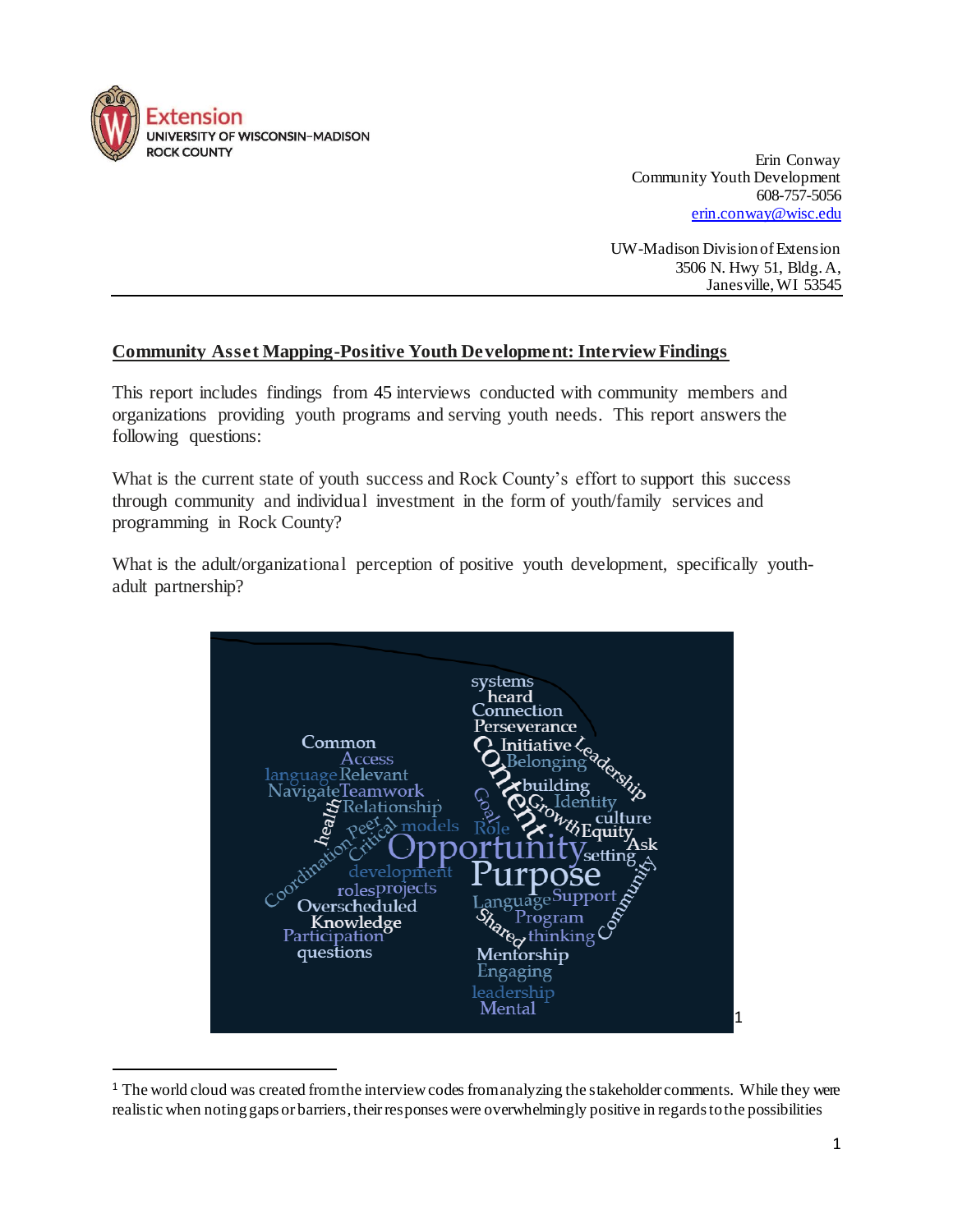

l

Erin Conway Community Youth Development 608-757-5056 [erin.conway@wisc.edu](mailto:erin.conway@wisc.edu)

UW-Madison Division of Extension 3506 N. Hwy 51, Bldg. A, Janesville, WI 53545

### **Community Asset Mapping-Positive Youth Development: Interview Findings**

This report includes findings from 45 interviews conducted with community members and organizations providing youth programs and serving youth needs. This report answers the following questions:

What is the current state of youth success and Rock County's effort to support this success through community and individual investment in the form of youth/family services and programming in Rock County?

What is the adult/organizational perception of positive youth development, specifically youthadult partnership?



<sup>&</sup>lt;sup>1</sup> The world cloud was created from the interview codes from analyzing the stakeholder comments. While they were realistic when noting gaps or barriers, their responses were overwhelmingly positive in regards to the possibilities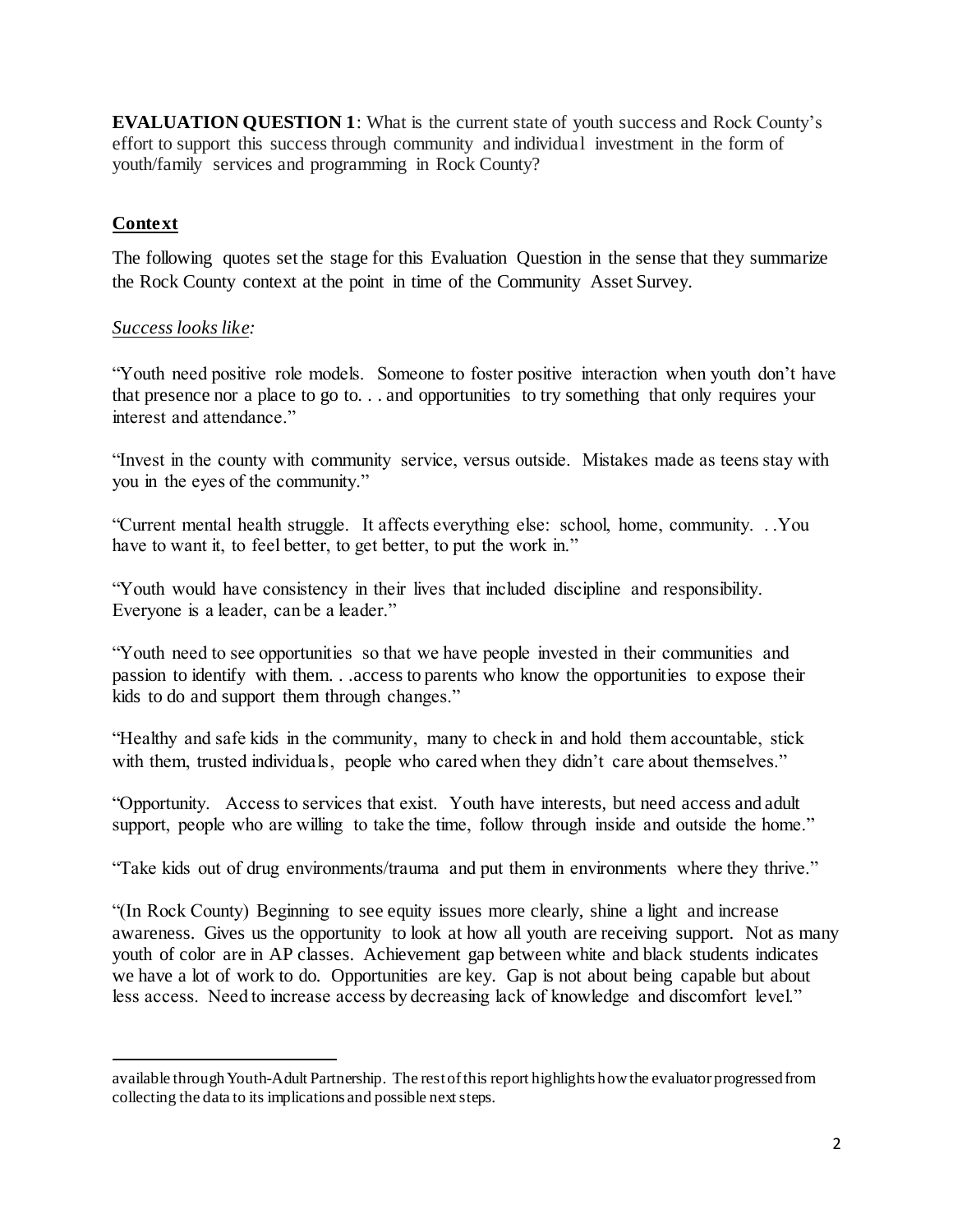**EVALUATION QUESTION 1**: What is the current state of youth success and Rock County's effort to support this success through community and individual investment in the form of youth/family services and programming in Rock County?

## **Context**

l

The following quotes set the stage for this Evaluation Question in the sense that they summarize the Rock County context at the point in time of the Community Asset Survey.

# *Success looks like:*

"Youth need positive role models. Someone to foster positive interaction when youth don't have that presence nor a place to go to. . . and opportunities to try something that only requires your interest and attendance."

"Invest in the county with community service, versus outside. Mistakes made as teens stay with you in the eyes of the community."

"Current mental health struggle. It affects everything else: school, home, community. . .You have to want it, to feel better, to get better, to put the work in."

"Youth would have consistency in their lives that included discipline and responsibility. Everyone is a leader, can be a leader."

"Youth need to see opportunities so that we have people invested in their communities and passion to identify with them. . .access to parents who know the opportunities to expose their kids to do and support them through changes."

"Healthy and safe kids in the community, many to check in and hold them accountable, stick with them, trusted individuals, people who cared when they didn't care about themselves."

"Opportunity. Access to services that exist. Youth have interests, but need access and adult support, people who are willing to take the time, follow through inside and outside the home."

"Take kids out of drug environments/trauma and put them in environments where they thrive."

"(In Rock County) Beginning to see equity issues more clearly, shine a light and increase awareness. Gives us the opportunity to look at how all youth are receiving support. Not as many youth of color are in AP classes. Achievement gap between white and black students indicates we have a lot of work to do. Opportunities are key. Gap is not about being capable but about less access. Need to increase access by decreasing lack of knowledge and discomfort level."

available through Youth-Adult Partnership. The rest of this report highlights how the evaluator progressed from collecting the data to its implications and possible next steps.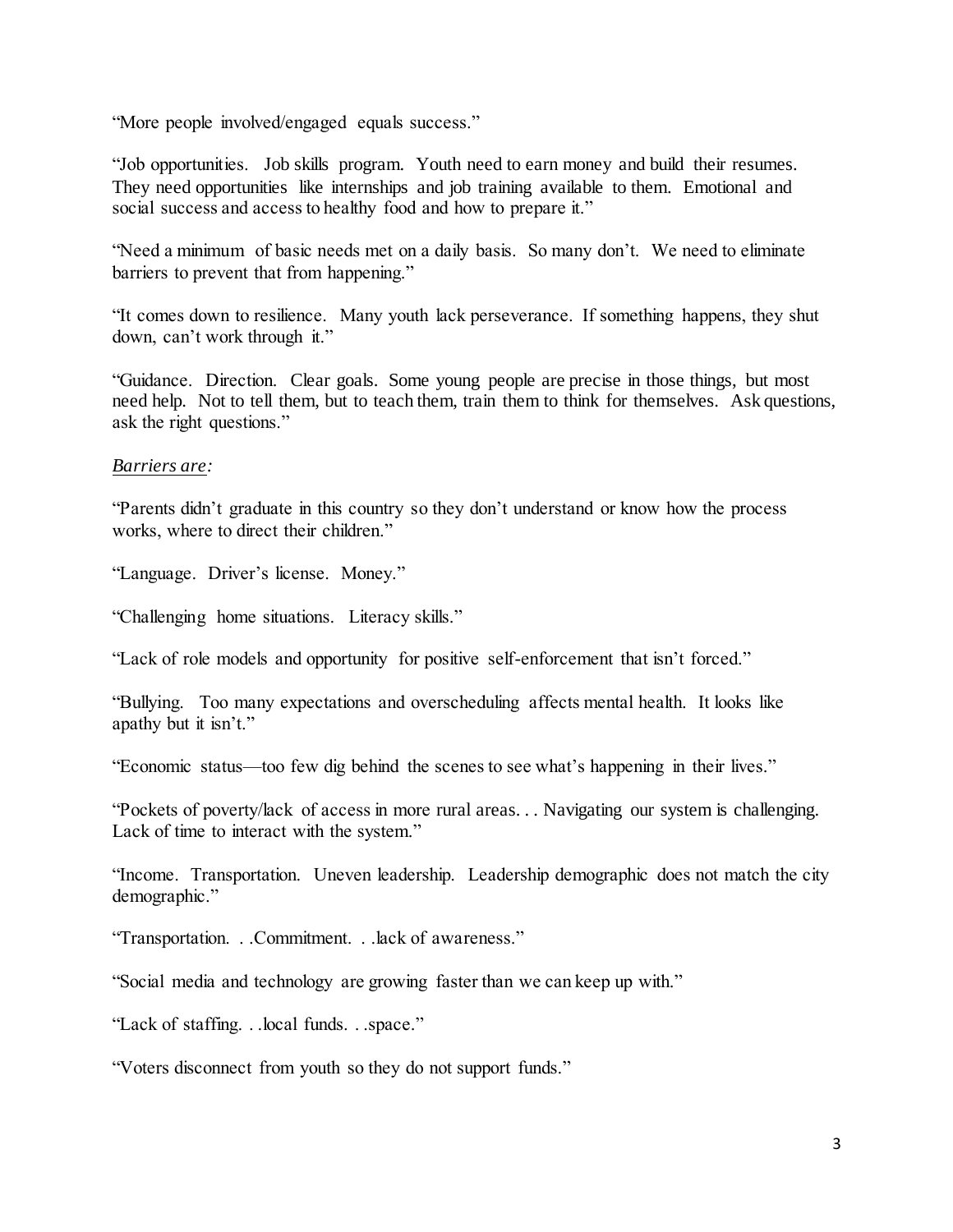"More people involved/engaged equals success."

"Job opportunities. Job skills program. Youth need to earn money and build their resumes. They need opportunities like internships and job training available to them. Emotional and social success and access to healthy food and how to prepare it."

"Need a minimum of basic needs met on a daily basis. So many don't. We need to eliminate barriers to prevent that from happening."

"It comes down to resilience. Many youth lack perseverance. If something happens, they shut down, can't work through it."

"Guidance. Direction. Clear goals. Some young people are precise in those things, but most need help. Not to tell them, but to teach them, train them to think for themselves. Ask questions, ask the right questions."

#### *Barriers are:*

"Parents didn't graduate in this country so they don't understand or know how the process works, where to direct their children."

"Language. Driver's license. Money."

"Challenging home situations. Literacy skills."

"Lack of role models and opportunity for positive self-enforcement that isn't forced."

"Bullying. Too many expectations and overscheduling affects mental health. It looks like apathy but it isn't."

"Economic status—too few dig behind the scenes to see what's happening in their lives."

"Pockets of poverty/lack of access in more rural areas. . . Navigating our system is challenging. Lack of time to interact with the system."

"Income. Transportation. Uneven leadership. Leadership demographic does not match the city demographic."

"Transportation. . .Commitment. . .lack of awareness."

"Social media and technology are growing faster than we can keep up with."

"Lack of staffing. . .local funds. . .space."

"Voters disconnect from youth so they do not support funds."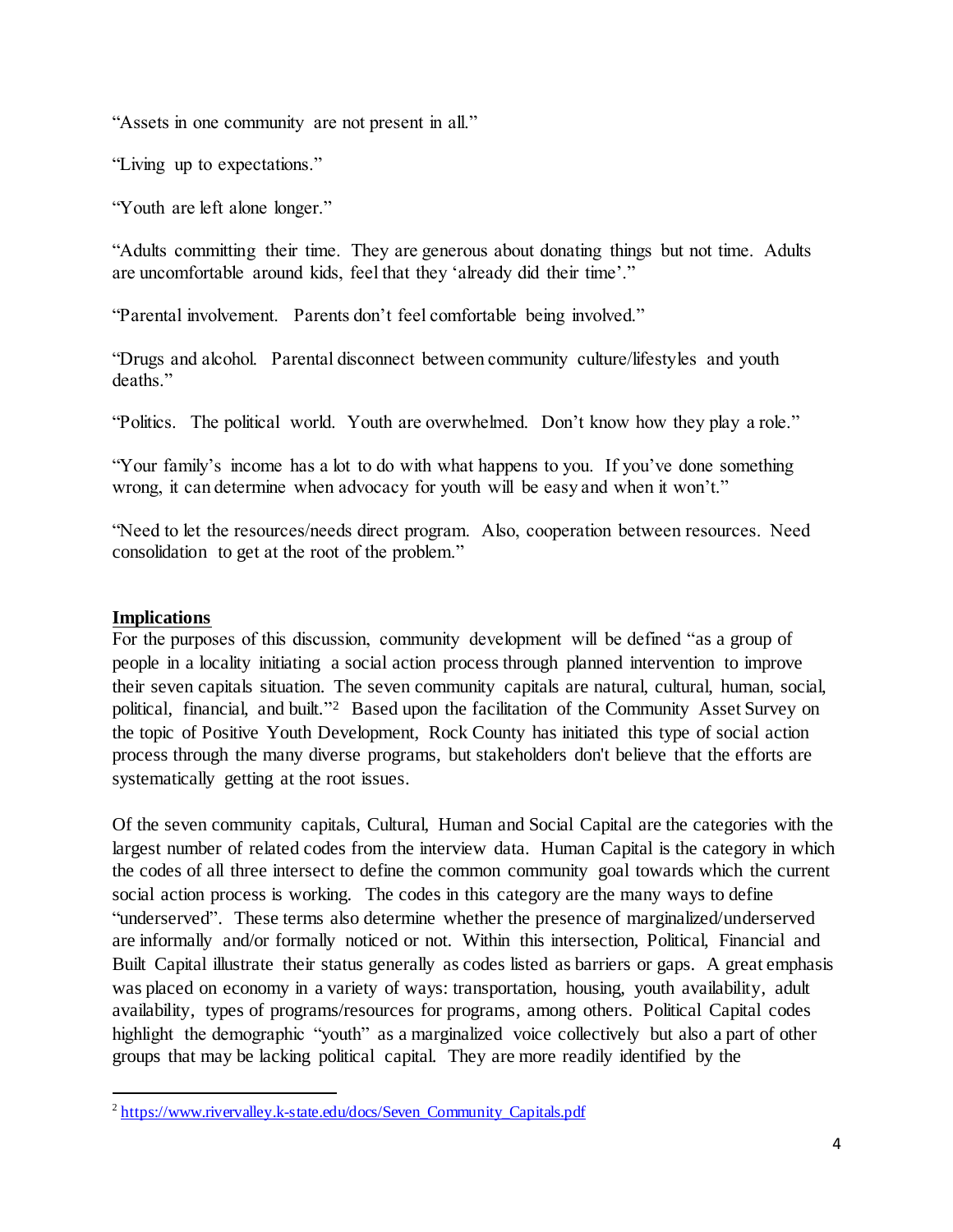"Assets in one community are not present in all."

"Living up to expectations."

"Youth are left alone longer."

"Adults committing their time. They are generous about donating things but not time. Adults are uncomfortable around kids, feel that they 'already did their time'."

"Parental involvement. Parents don't feel comfortable being involved."

"Drugs and alcohol. Parental disconnect between community culture/lifestyles and youth deaths."

"Politics. The political world. Youth are overwhelmed. Don't know how they play a role."

"Your family's income has a lot to do with what happens to you. If you've done something wrong, it can determine when advocacy for youth will be easy and when it won't."

"Need to let the resources/needs direct program. Also, cooperation between resources. Need consolidation to get at the root of the problem."

#### **Implications**

l

For the purposes of this discussion, community development will be defined "as a group of people in a locality initiating a social action process through planned intervention to improve their seven capitals situation. The seven community capitals are natural, cultural, human, social, political, financial, and built."<sup>2</sup> Based upon the facilitation of the Community Asset Survey on the topic of Positive Youth Development, Rock County has initiated this type of social action process through the many diverse programs, but stakeholders don't believe that the efforts are systematically getting at the root issues.

Of the seven community capitals, Cultural, Human and Social Capital are the categories with the largest number of related codes from the interview data. Human Capital is the category in which the codes of all three intersect to define the common community goal towards which the current social action process is working. The codes in this category are the many ways to define "underserved". These terms also determine whether the presence of marginalized/underserved are informally and/or formally noticed or not. Within this intersection, Political, Financial and Built Capital illustrate their status generally as codes listed as barriers or gaps. A great emphasis was placed on economy in a variety of ways: transportation, housing, youth availability, adult availability, types of programs/resources for programs, among others. Political Capital codes highlight the demographic "youth" as a marginalized voice collectively but also a part of other groups that may be lacking political capital. They are more readily identified by the

<sup>&</sup>lt;sup>2</sup> [https://www.rivervalley.k-state.edu/docs/Seven\\_Community\\_Capitals.pdf](https://www.rivervalley.k-state.edu/docs/Seven_Community_Capitals.pdf)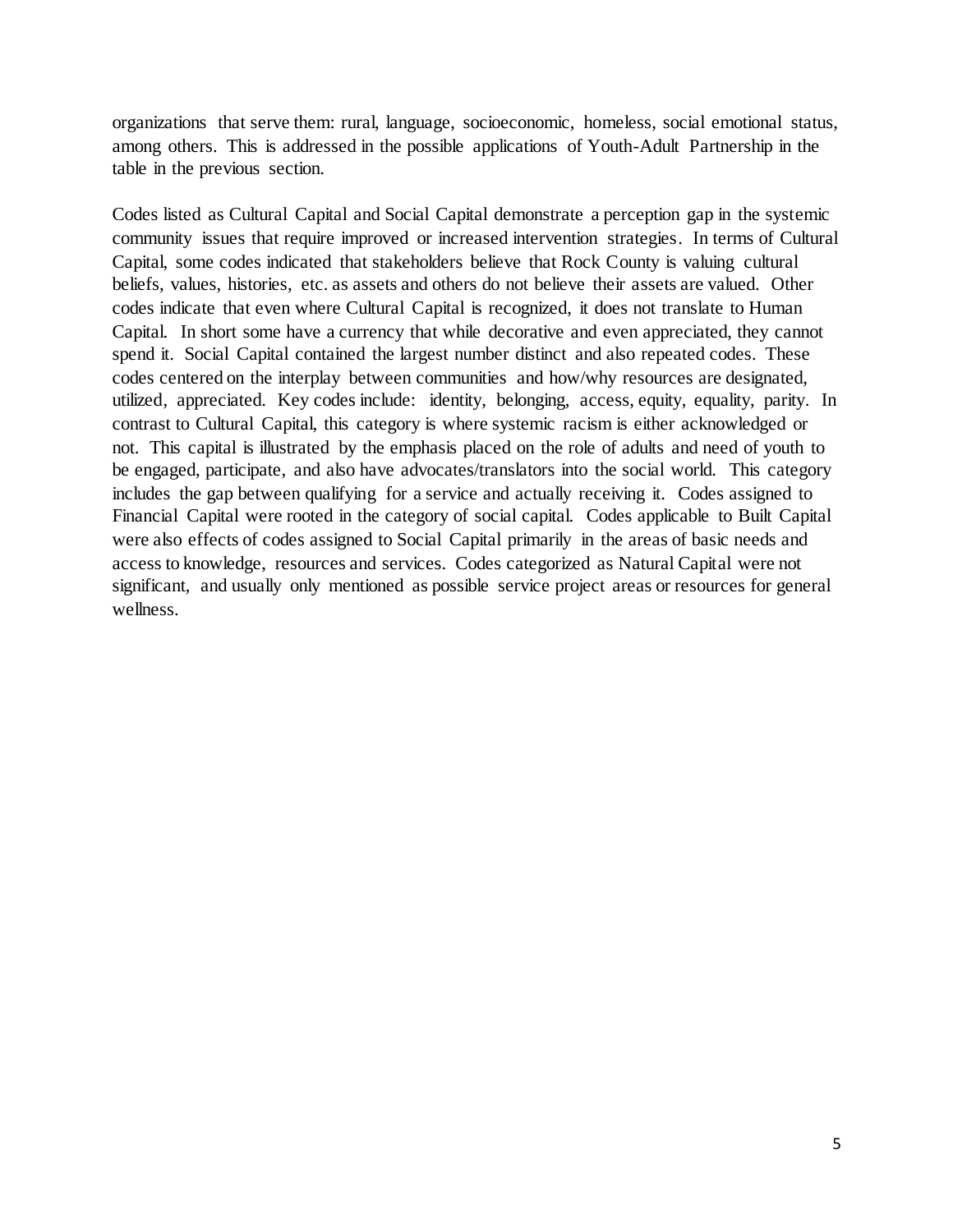organizations that serve them: rural, language, socioeconomic, homeless, social emotional status, among others. This is addressed in the possible applications of Youth-Adult Partnership in the table in the previous section.

Codes listed as Cultural Capital and Social Capital demonstrate a perception gap in the systemic community issues that require improved or increased intervention strategies. In terms of Cultural Capital, some codes indicated that stakeholders believe that Rock County is valuing cultural beliefs, values, histories, etc. as assets and others do not believe their assets are valued. Other codes indicate that even where Cultural Capital is recognized, it does not translate to Human Capital. In short some have a currency that while decorative and even appreciated, they cannot spend it. Social Capital contained the largest number distinct and also repeated codes. These codes centered on the interplay between communities and how/why resources are designated, utilized, appreciated. Key codes include: identity, belonging, access, equity, equality, parity. In contrast to Cultural Capital, this category is where systemic racism is either acknowledged or not. This capital is illustrated by the emphasis placed on the role of adults and need of youth to be engaged, participate, and also have advocates/translators into the social world. This category includes the gap between qualifying for a service and actually receiving it. Codes assigned to Financial Capital were rooted in the category of social capital. Codes applicable to Built Capital were also effects of codes assigned to Social Capital primarily in the areas of basic needs and access to knowledge, resources and services. Codes categorized as Natural Capital were not significant, and usually only mentioned as possible service project areas or resources for general wellness.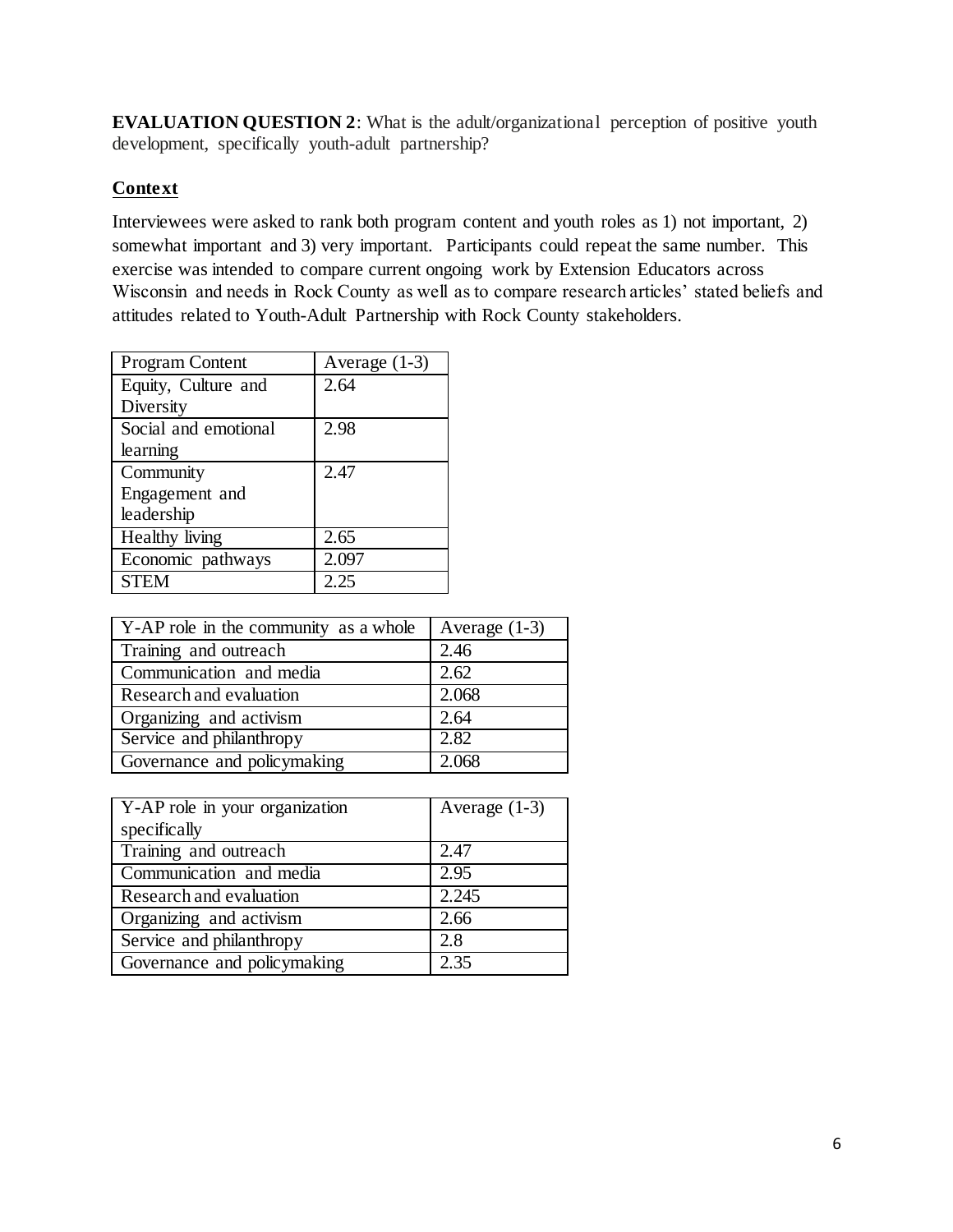**EVALUATION QUESTION 2:** What is the adult/organizational perception of positive youth development, specifically youth-adult partnership?

### **Context**

Interviewees were asked to rank both program content and youth roles as 1) not important, 2) somewhat important and 3) very important. Participants could repeat the same number. This exercise was intended to compare current ongoing work by Extension Educators across Wisconsin and needs in Rock County as well as to compare research articles' stated beliefs and attitudes related to Youth-Adult Partnership with Rock County stakeholders.

| <b>Program Content</b> | Average (1-3) |
|------------------------|---------------|
| Equity, Culture and    | 2.64          |
| Diversity              |               |
| Social and emotional   | 2.98          |
| learning               |               |
| Community              | 2.47          |
| Engagement and         |               |
| leadership             |               |
| Healthy living         | 2.65          |
| Economic pathways      | 2.097         |
| <b>STEM</b>            | 2.25          |

| Y-AP role in the community as a whole | Average $(1-3)$ |
|---------------------------------------|-----------------|
| Training and outreach                 | 2.46            |
| Communication and media               | 2.62            |
| Research and evaluation               | 2.068           |
| Organizing and activism               | 2.64            |
| Service and philanthropy              | 2.82            |
| Governance and policymaking           | 2.068           |

| Y-AP role in your organization | Average $(1-3)$ |
|--------------------------------|-----------------|
| specifically                   |                 |
| Training and outreach          | 2.47            |
| Communication and media        | 2.95            |
| Research and evaluation        | 2.245           |
| Organizing and activism        | 2.66            |
| Service and philanthropy       | 2.8             |
| Governance and policymaking    | 2.35            |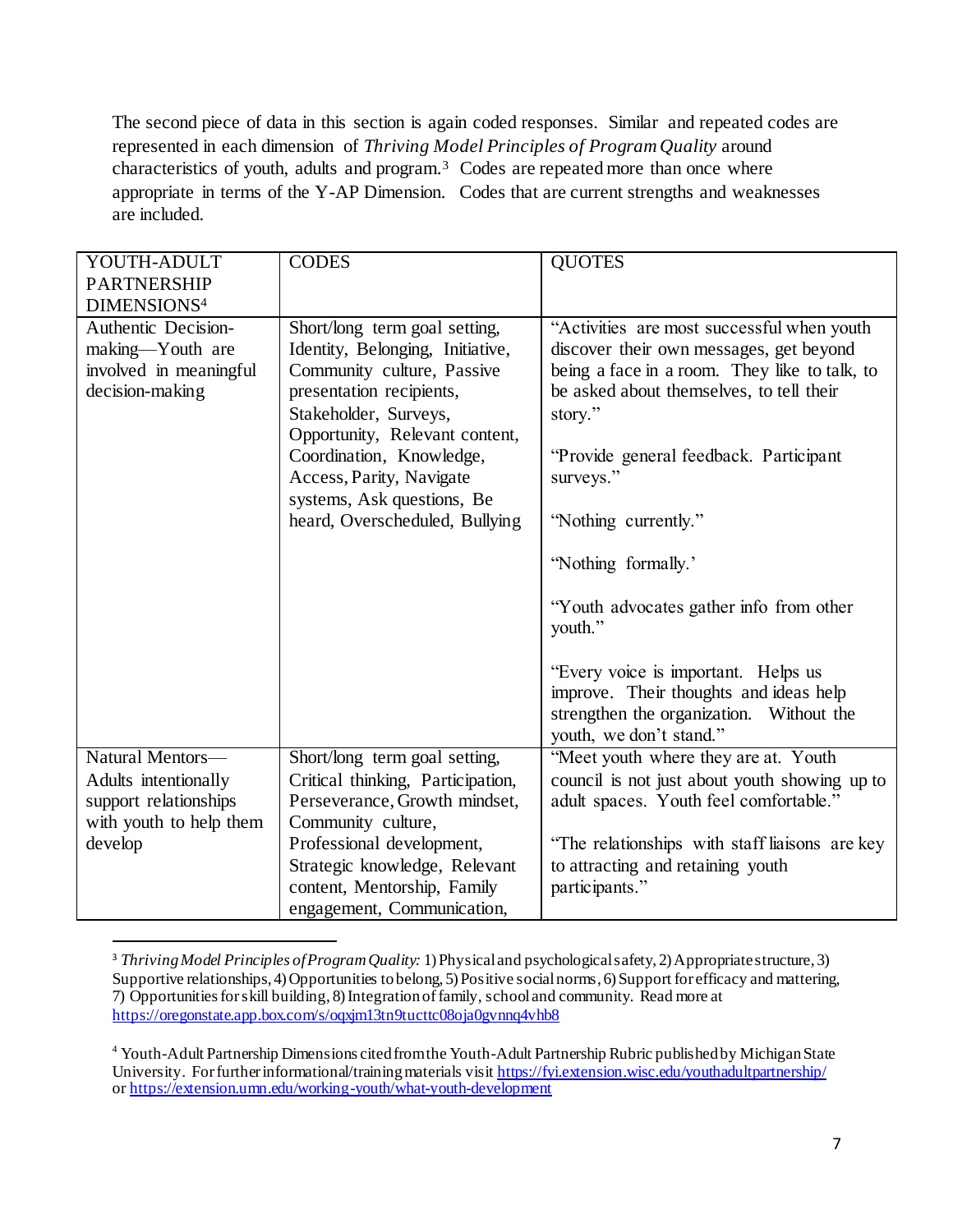The second piece of data in this section is again coded responses. Similar and repeated codes are represented in each dimension of *Thriving Model Principles of Program Quality* around characteristics of youth, adults and program.<sup>3</sup> Codes are repeated more than once where appropriate in terms of the Y-AP Dimension. Codes that are current strengths and weaknesses are included.

| YOUTH-ADULT             | <b>CODES</b>                      | <b>QUOTES</b>                                  |
|-------------------------|-----------------------------------|------------------------------------------------|
| <b>PARTNERSHIP</b>      |                                   |                                                |
| DIMENSIONS <sup>4</sup> |                                   |                                                |
| Authentic Decision-     | Short/long term goal setting,     | "Activities are most successful when youth     |
| making-Youth are        | Identity, Belonging, Initiative,  | discover their own messages, get beyond        |
| involved in meaningful  | Community culture, Passive        | being a face in a room. They like to talk, to  |
| decision-making         | presentation recipients,          | be asked about themselves, to tell their       |
|                         | Stakeholder, Surveys,             | story."                                        |
|                         | Opportunity, Relevant content,    |                                                |
|                         | Coordination, Knowledge,          | "Provide general feedback. Participant         |
|                         | Access, Parity, Navigate          | surveys."                                      |
|                         | systems, Ask questions, Be        |                                                |
|                         | heard, Overscheduled, Bullying    | "Nothing currently."                           |
|                         |                                   |                                                |
|                         |                                   | "Nothing formally."                            |
|                         |                                   |                                                |
|                         |                                   | "Youth advocates gather info from other        |
|                         |                                   | youth."                                        |
|                         |                                   |                                                |
|                         |                                   | "Every voice is important. Helps us            |
|                         |                                   | improve. Their thoughts and ideas help         |
|                         |                                   | strengthen the organization. Without the       |
|                         |                                   | youth, we don't stand."                        |
| Natural Mentors-        | Short/long term goal setting,     | "Meet youth where they are at. Youth           |
| Adults intentionally    | Critical thinking, Participation, | council is not just about youth showing up to  |
| support relationships   | Perseverance, Growth mindset,     | adult spaces. Youth feel comfortable."         |
| with youth to help them | Community culture,                |                                                |
| develop                 | Professional development,         | "The relationships with staff liaisons are key |
|                         | Strategic knowledge, Relevant     | to attracting and retaining youth              |
|                         | content, Mentorship, Family       | participants."                                 |
|                         | engagement, Communication,        |                                                |
|                         |                                   |                                                |

<sup>3</sup> *Thriving Model Principles of Program Quality:* 1) Physical and psychological safety, 2) Appropriate structure, 3) Supportive relationships, 4) Opportunities to belong, 5) Positive social norms, 6) Support for efficacy and mattering, 7) Opportunities for skill building, 8) Integration of family, school and community. Read more at <https://oregonstate.app.box.com/s/oqxjm13tn9tucttc08oja0gvnnq4vhb8>

l

<sup>4</sup> Youth-Adult Partnership Dimensions cited from the Youth-Adult Partnership Rubric published by Michigan State University. For further informational/training materials visit https://fyi.extension.wisc.edu/youthadultpartnership/ o[r https://extension.umn.edu/working-youth/what-youth-development](https://extension.umn.edu/working-youth/what-youth-development)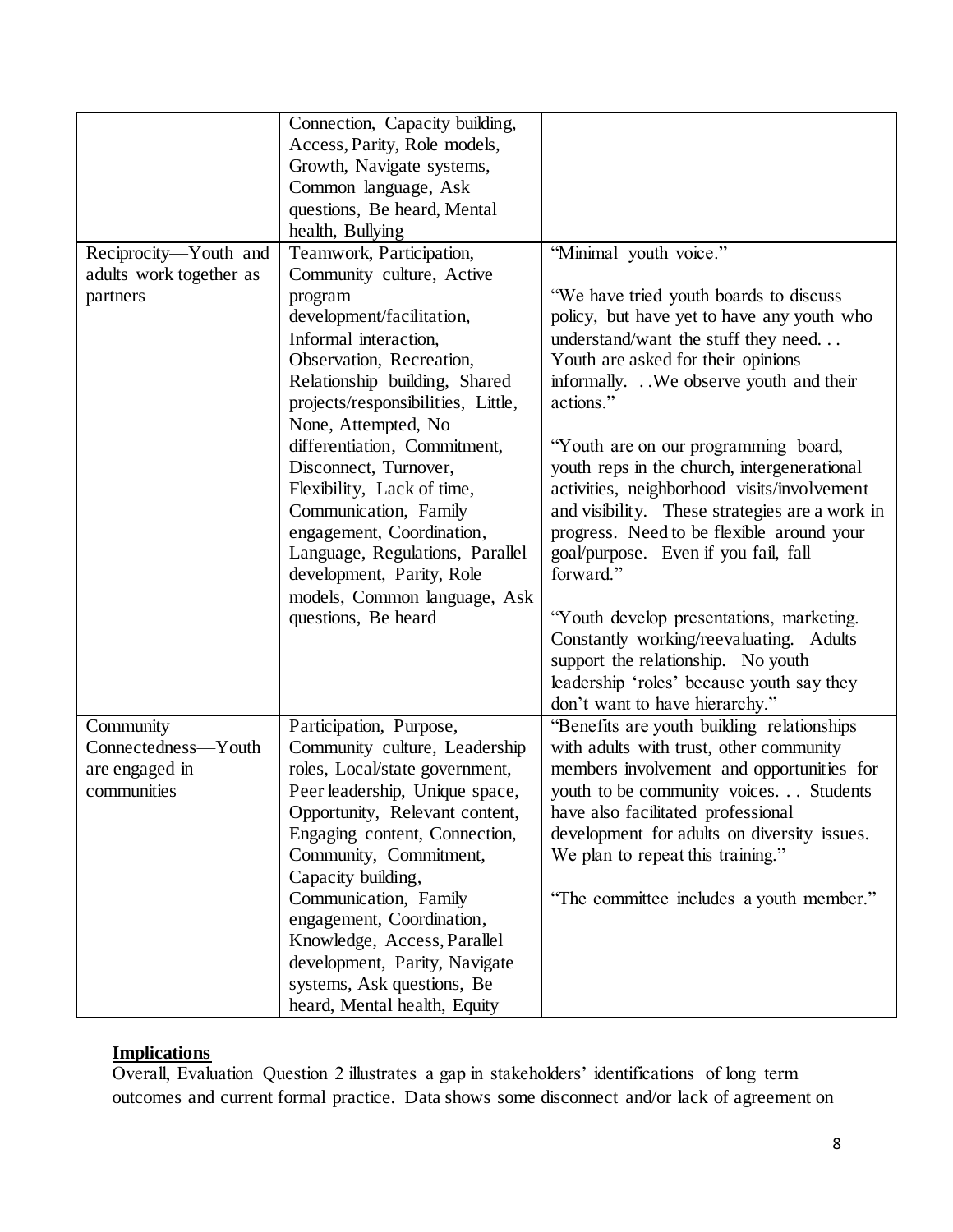|                         | Connection, Capacity building,     |                                                |
|-------------------------|------------------------------------|------------------------------------------------|
|                         | Access, Parity, Role models,       |                                                |
|                         | Growth, Navigate systems,          |                                                |
|                         | Common language, Ask               |                                                |
|                         | questions, Be heard, Mental        |                                                |
|                         |                                    |                                                |
|                         | health, Bullying                   |                                                |
| Reciprocity-Youth and   | Teamwork, Participation,           | "Minimal youth voice."                         |
| adults work together as | Community culture, Active          |                                                |
| partners                | program                            | "We have tried youth boards to discuss         |
|                         | development/facilitation,          | policy, but have yet to have any youth who     |
|                         | Informal interaction,              | understand/want the stuff they need            |
|                         | Observation, Recreation,           | Youth are asked for their opinions             |
|                         | Relationship building, Shared      | informally. We observe youth and their         |
|                         | projects/responsibilities, Little, | actions."                                      |
|                         | None, Attempted, No.               |                                                |
|                         | differentiation, Commitment,       | "Youth are on our programming board,           |
|                         | Disconnect, Turnover,              | youth reps in the church, intergenerational    |
|                         | Flexibility, Lack of time,         | activities, neighborhood visits/involvement    |
|                         | Communication, Family              | and visibility. These strategies are a work in |
|                         | engagement, Coordination,          | progress. Need to be flexible around your      |
|                         | Language, Regulations, Parallel    | goal/purpose. Even if you fail, fall           |
|                         | development, Parity, Role          | forward."                                      |
|                         | models, Common language, Ask       |                                                |
|                         | questions, Be heard                | "Youth develop presentations, marketing.       |
|                         |                                    | Constantly working/reevaluating. Adults        |
|                         |                                    | support the relationship. No youth             |
|                         |                                    |                                                |
|                         |                                    | leadership 'roles' because youth say they      |
|                         |                                    | don't want to have hierarchy."                 |
| Community               | Participation, Purpose,            | "Benefits are youth building relationships     |
| Connectedness-Youth     | Community culture, Leadership      | with adults with trust, other community        |
| are engaged in          | roles, Local/state government,     | members involvement and opportunities for      |
| communities             | Peer leadership, Unique space,     | youth to be community voices Students          |
|                         | Opportunity, Relevant content,     | have also facilitated professional             |
|                         | Engaging content, Connection,      | development for adults on diversity issues.    |
|                         | Community, Commitment,             | We plan to repeat this training."              |
|                         | Capacity building,                 |                                                |
|                         | Communication, Family              | "The committee includes a youth member."       |
|                         | engagement, Coordination,          |                                                |
|                         | Knowledge, Access, Parallel        |                                                |
|                         | development, Parity, Navigate      |                                                |
|                         | systems, Ask questions, Be         |                                                |
|                         | heard, Mental health, Equity       |                                                |

### **Implications**

Overall, Evaluation Question 2 illustrates a gap in stakeholders' identifications of long term outcomes and current formal practice. Data shows some disconnect and/or lack of agreement on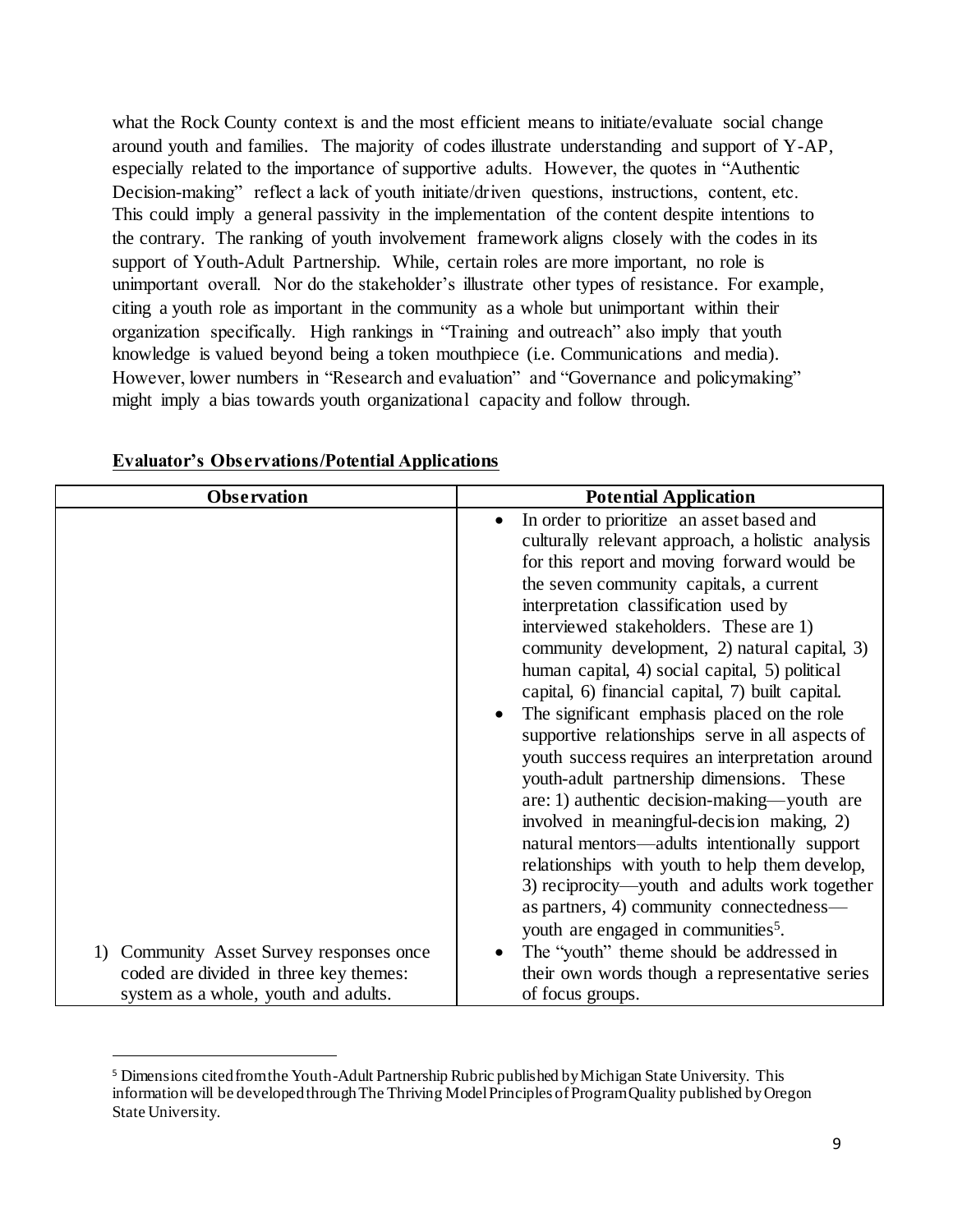what the Rock County context is and the most efficient means to initiate/evaluate social change around youth and families. The majority of codes illustrate understanding and support of Y-AP, especially related to the importance of supportive adults. However, the quotes in "Authentic Decision-making" reflect a lack of youth initiate/driven questions, instructions, content, etc. This could imply a general passivity in the implementation of the content despite intentions to the contrary. The ranking of youth involvement framework aligns closely with the codes in its support of Youth-Adult Partnership. While, certain roles are more important, no role is unimportant overall. Nor do the stakeholder's illustrate other types of resistance. For example, citing a youth role as important in the community as a whole but unimportant within their organization specifically. High rankings in "Training and outreach" also imply that youth knowledge is valued beyond being a token mouthpiece (i.e. Communications and media). However, lower numbers in "Research and evaluation" and "Governance and policymaking" might imply a bias towards youth organizational capacity and follow through.

| <b>Observation</b>                                                                                                            | <b>Potential Application</b><br>In order to prioritize an asset based and<br>culturally relevant approach, a holistic analysis<br>for this report and moving forward would be<br>the seven community capitals, a current<br>interpretation classification used by<br>interviewed stakeholders. These are 1)<br>community development, 2) natural capital, 3)<br>human capital, 4) social capital, 5) political<br>capital, 6) financial capital, 7) built capital.<br>The significant emphasis placed on the role<br>supportive relationships serve in all aspects of<br>youth success requires an interpretation around<br>youth-adult partnership dimensions. These<br>are: 1) authentic decision-making—youth are<br>involved in meaningful-decision making, 2)<br>natural mentors—adults intentionally support<br>relationships with youth to help them develop,<br>3) reciprocity—youth and adults work together<br>as partners, 4) community connectedness— |  |
|-------------------------------------------------------------------------------------------------------------------------------|-------------------------------------------------------------------------------------------------------------------------------------------------------------------------------------------------------------------------------------------------------------------------------------------------------------------------------------------------------------------------------------------------------------------------------------------------------------------------------------------------------------------------------------------------------------------------------------------------------------------------------------------------------------------------------------------------------------------------------------------------------------------------------------------------------------------------------------------------------------------------------------------------------------------------------------------------------------------|--|
|                                                                                                                               | youth are engaged in communities <sup>5</sup> .                                                                                                                                                                                                                                                                                                                                                                                                                                                                                                                                                                                                                                                                                                                                                                                                                                                                                                                   |  |
| Community Asset Survey responses once<br>1)<br>coded are divided in three key themes:<br>system as a whole, youth and adults. | The "youth" theme should be addressed in<br>their own words though a representative series<br>of focus groups.                                                                                                                                                                                                                                                                                                                                                                                                                                                                                                                                                                                                                                                                                                                                                                                                                                                    |  |

#### **Evaluator's Observations/Potential Applications**

l

<sup>5</sup> Dimensions cited from the Youth-Adult Partnership Rubric published by Michigan State University. This information will be developed through The Thriving Model Principles of Program Quality published by Oregon State University.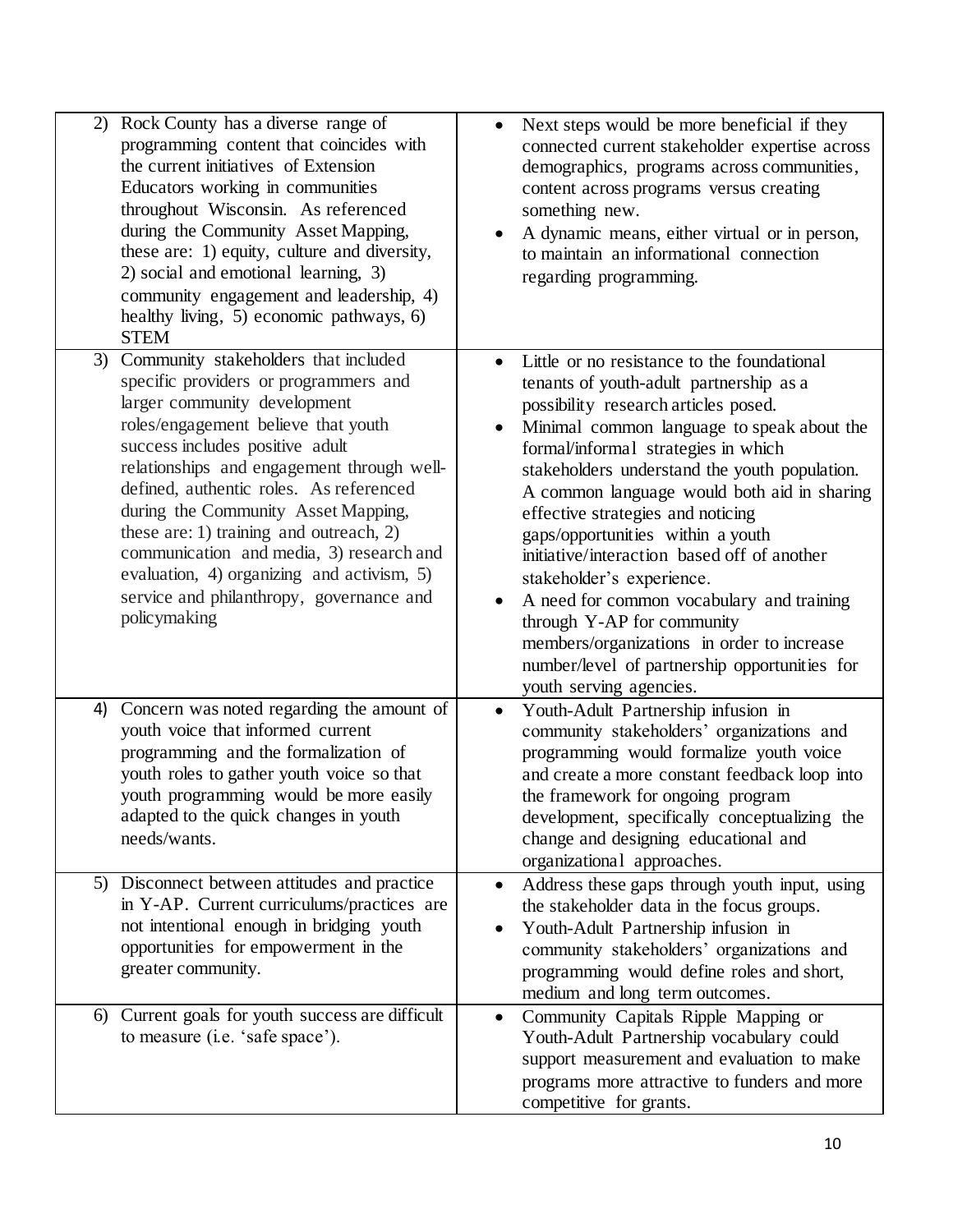| 2) Rock County has a diverse range of<br>programming content that coincides with<br>the current initiatives of Extension<br>Educators working in communities<br>throughout Wisconsin. As referenced<br>during the Community Asset Mapping,<br>these are: 1) equity, culture and diversity,<br>2) social and emotional learning, 3)<br>community engagement and leadership, 4)<br>healthy living, 5) economic pathways, 6)<br><b>STEM</b>                                                                                          | Next steps would be more beneficial if they<br>connected current stakeholder expertise across<br>demographics, programs across communities,<br>content across programs versus creating<br>something new.<br>A dynamic means, either virtual or in person,<br>to maintain an informational connection<br>regarding programming.                                                                                                                                                                                                                                                                                                                                                 |
|-----------------------------------------------------------------------------------------------------------------------------------------------------------------------------------------------------------------------------------------------------------------------------------------------------------------------------------------------------------------------------------------------------------------------------------------------------------------------------------------------------------------------------------|--------------------------------------------------------------------------------------------------------------------------------------------------------------------------------------------------------------------------------------------------------------------------------------------------------------------------------------------------------------------------------------------------------------------------------------------------------------------------------------------------------------------------------------------------------------------------------------------------------------------------------------------------------------------------------|
| Community stakeholders that included<br>3)<br>specific providers or programmers and<br>larger community development<br>roles/engagement believe that youth<br>success includes positive adult<br>relationships and engagement through well-<br>defined, authentic roles. As referenced<br>during the Community Asset Mapping,<br>these are: 1) training and outreach, $2$ )<br>communication and media, 3) research and<br>evaluation, 4) organizing and activism, 5)<br>service and philanthropy, governance and<br>policymaking | Little or no resistance to the foundational<br>tenants of youth-adult partnership as a<br>possibility research articles posed.<br>Minimal common language to speak about the<br>formal/informal strategies in which<br>stakeholders understand the youth population.<br>A common language would both aid in sharing<br>effective strategies and noticing<br>gaps/opportunities within a youth<br>initiative/interaction based off of another<br>stakeholder's experience.<br>A need for common vocabulary and training<br>through Y-AP for community<br>members/organizations in order to increase<br>number/level of partnership opportunities for<br>youth serving agencies. |
| Concern was noted regarding the amount of<br>4)<br>youth voice that informed current<br>programming and the formalization of<br>youth roles to gather youth voice so that<br>youth programming would be more easily<br>adapted to the quick changes in youth<br>needs/wants.                                                                                                                                                                                                                                                      | Youth-Adult Partnership infusion in<br>$\bullet$<br>community stakeholders' organizations and<br>programming would formalize youth voice<br>and create a more constant feedback loop into<br>the framework for ongoing program<br>development, specifically conceptualizing the<br>change and designing educational and<br>organizational approaches.                                                                                                                                                                                                                                                                                                                          |
| 5) Disconnect between attitudes and practice<br>in Y-AP. Current curriculums/practices are<br>not intentional enough in bridging youth<br>opportunities for empowerment in the<br>greater community.                                                                                                                                                                                                                                                                                                                              | Address these gaps through youth input, using<br>the stakeholder data in the focus groups.<br>Youth-Adult Partnership infusion in<br>community stakeholders' organizations and<br>programming would define roles and short,<br>medium and long term outcomes.                                                                                                                                                                                                                                                                                                                                                                                                                  |
| Current goals for youth success are difficult<br>6)<br>to measure (i.e. 'safe space').                                                                                                                                                                                                                                                                                                                                                                                                                                            | Community Capitals Ripple Mapping or<br>Youth-Adult Partnership vocabulary could<br>support measurement and evaluation to make<br>programs more attractive to funders and more<br>competitive for grants.                                                                                                                                                                                                                                                                                                                                                                                                                                                                      |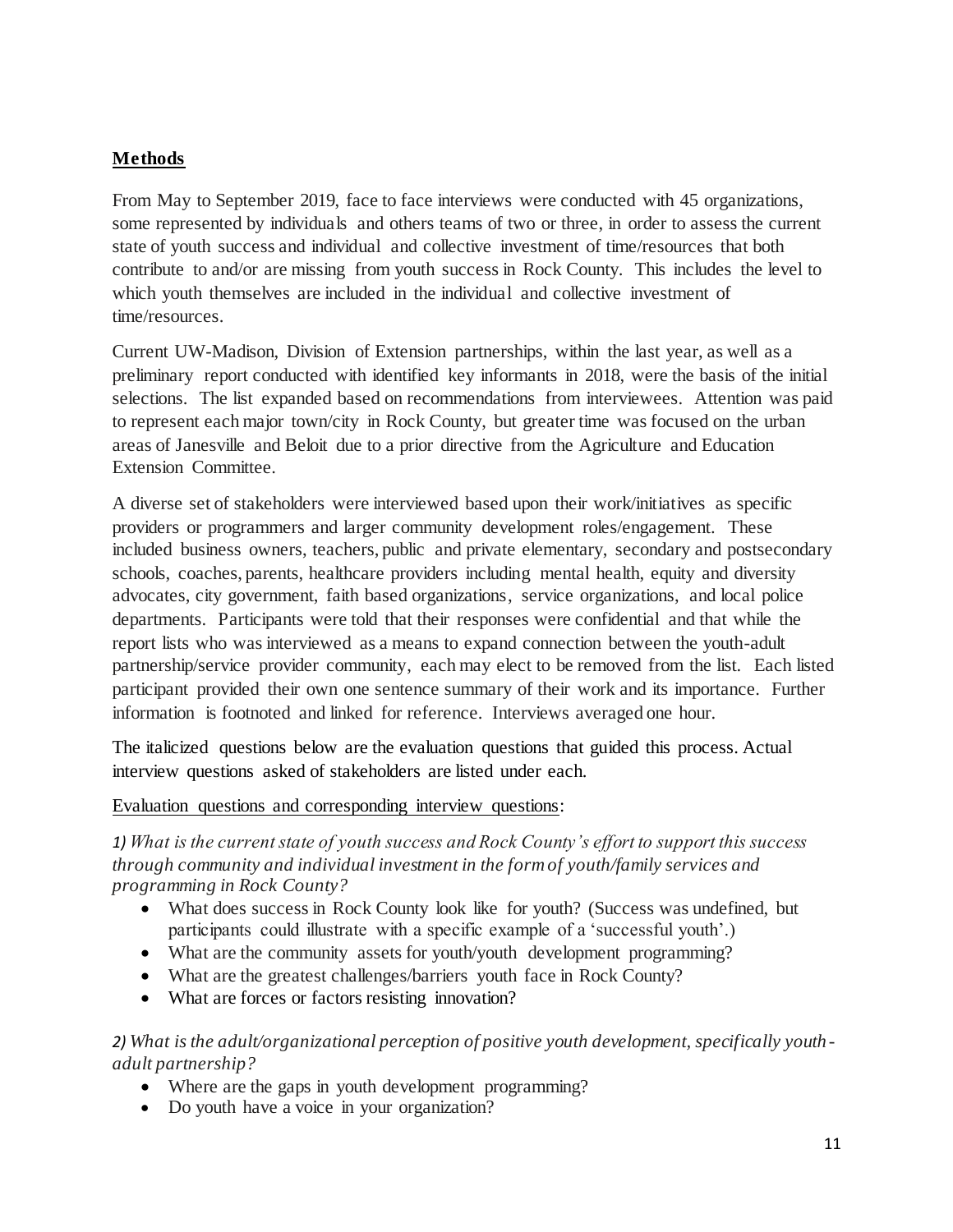## **Methods**

From May to September 2019, face to face interviews were conducted with 45 organizations, some represented by individuals and others teams of two or three, in order to assess the current state of youth success and individual and collective investment of time/resources that both contribute to and/or are missing from youth success in Rock County. This includes the level to which youth themselves are included in the individual and collective investment of time/resources.

Current UW-Madison, Division of Extension partnerships, within the last year, as well as a preliminary report conducted with identified key informants in 2018, were the basis of the initial selections. The list expanded based on recommendations from interviewees. Attention was paid to represent each major town/city in Rock County, but greater time was focused on the urban areas of Janesville and Beloit due to a prior directive from the Agriculture and Education Extension Committee.

A diverse set of stakeholders were interviewed based upon their work/initiatives as specific providers or programmers and larger community development roles/engagement. These included business owners, teachers, public and private elementary, secondary and postsecondary schools, coaches, parents, healthcare providers including mental health, equity and diversity advocates, city government, faith based organizations, service organizations, and local police departments. Participants were told that their responses were confidential and that while the report lists who was interviewed as a means to expand connection between the youth-adult partnership/service provider community, each may elect to be removed from the list. Each listed participant provided their own one sentence summary of their work and its importance. Further information is footnoted and linked for reference. Interviews averaged one hour.

The italicized questions below are the evaluation questions that guided this process. Actual interview questions asked of stakeholders are listed under each.

#### Evaluation questions and corresponding interview questions:

*1) What is the current state of youth success and Rock County's effort to support this success through community and individual investment in the form of youth/family services and programming in Rock County?* 

- What does success in Rock County look like for youth? (Success was undefined, but participants could illustrate with a specific example of a 'successful youth'.)
- What are the community assets for youth/youth development programming?
- What are the greatest challenges/barriers youth face in Rock County?
- What are forces or factors resisting innovation?

*2) What is the adult/organizational perception of positive youth development, specifically youth adult partnership?*

- Where are the gaps in youth development programming?
- Do youth have a voice in your organization?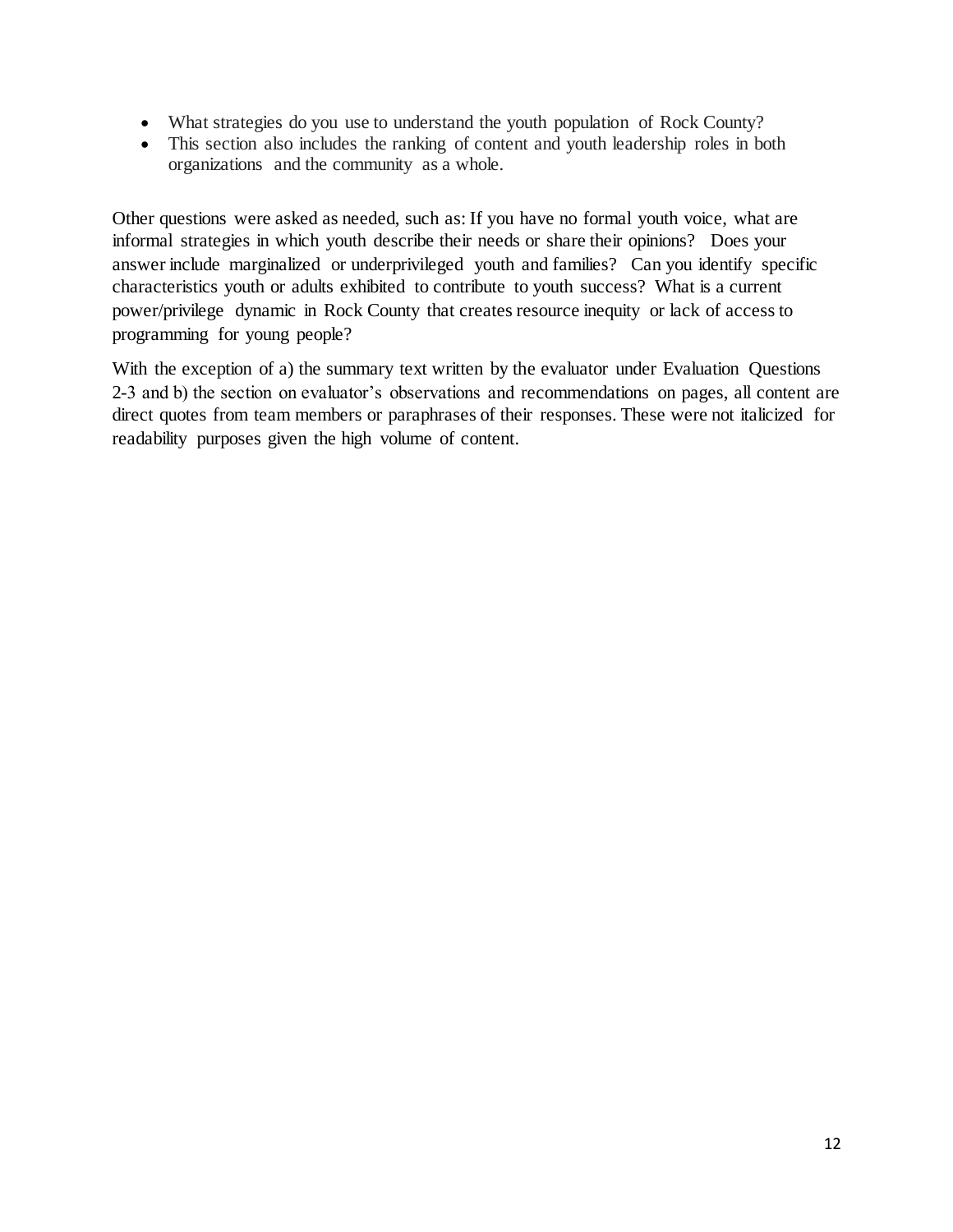- What strategies do you use to understand the youth population of Rock County?
- This section also includes the ranking of content and youth leadership roles in both organizations and the community as a whole.

Other questions were asked as needed, such as: If you have no formal youth voice, what are informal strategies in which youth describe their needs or share their opinions? Does your answer include marginalized or underprivileged youth and families? Can you identify specific characteristics youth or adults exhibited to contribute to youth success? What is a current power/privilege dynamic in Rock County that creates resource inequity or lack of access to programming for young people?

With the exception of a) the summary text written by the evaluator under Evaluation Questions 2-3 and b) the section on evaluator's observations and recommendations on pages, all content are direct quotes from team members or paraphrases of their responses. These were not italicized for readability purposes given the high volume of content.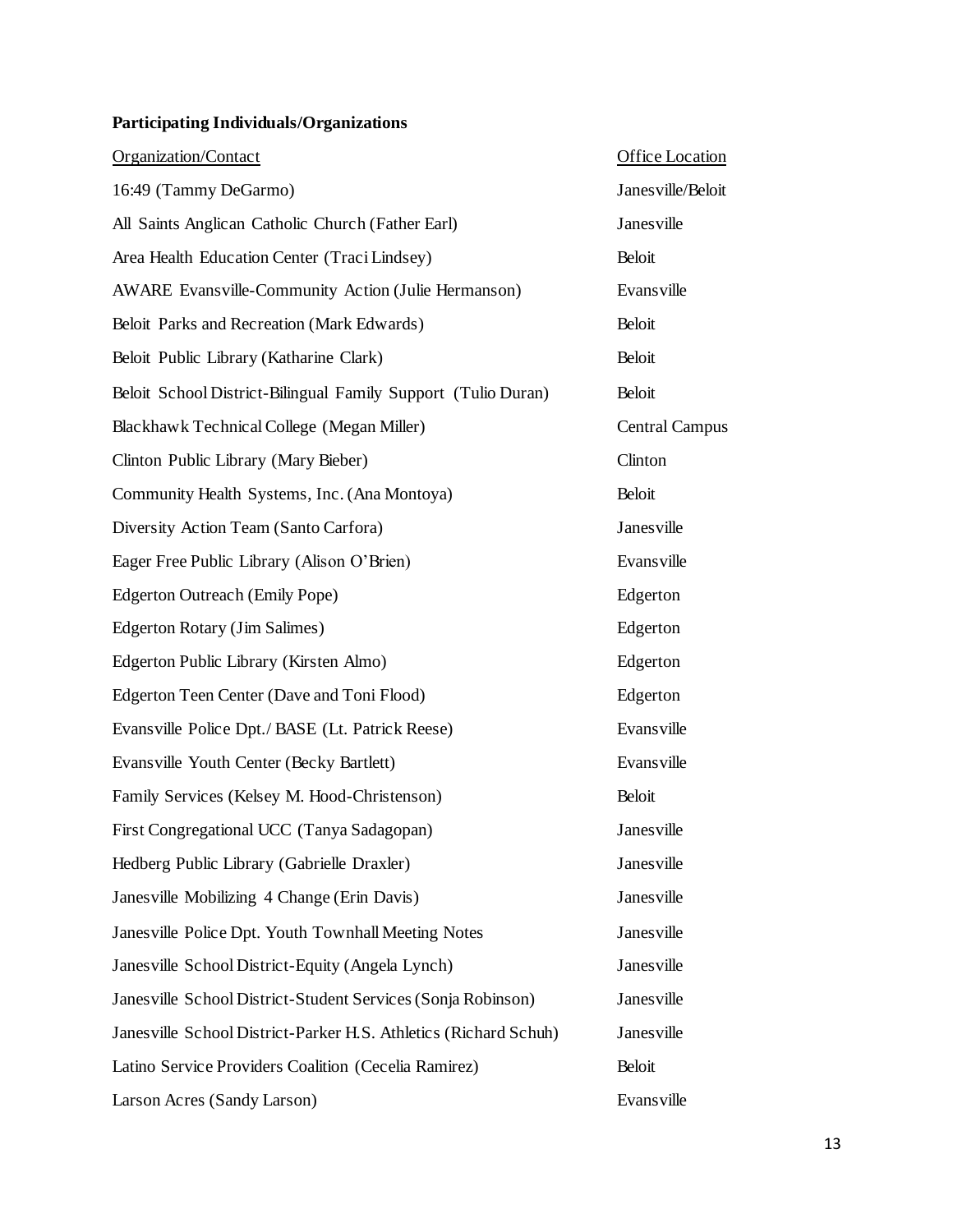# **Participating Individuals/Organizations**

| Organization/Contact                                             | <b>Office Location</b> |
|------------------------------------------------------------------|------------------------|
| 16:49 (Tammy DeGarmo)                                            | Janes ville/Beloit     |
| All Saints Anglican Catholic Church (Father Earl)                | Janesville             |
| Area Health Education Center (Traci Lindsey)                     | Beloit                 |
| <b>AWARE</b> Evansville-Community Action (Julie Hermanson)       | Evansville             |
| Beloit Parks and Recreation (Mark Edwards)                       | <b>Beloit</b>          |
| Beloit Public Library (Katharine Clark)                          | <b>Beloit</b>          |
| Beloit School District-Bilingual Family Support (Tulio Duran)    | <b>Beloit</b>          |
| Blackhawk Technical College (Megan Miller)                       | <b>Central Campus</b>  |
| Clinton Public Library (Mary Bieber)                             | Clinton                |
| Community Health Systems, Inc. (Ana Montoya)                     | <b>Beloit</b>          |
| Diversity Action Team (Santo Carfora)                            | Janesville             |
| Eager Free Public Library (Alison O'Brien)                       | Evansville             |
| <b>Edgerton Outreach (Emily Pope)</b>                            | Edgerton               |
| Edgerton Rotary (Jim Salimes)                                    | Edgerton               |
| Edgerton Public Library (Kirsten Almo)                           | Edgerton               |
| Edgerton Teen Center (Dave and Toni Flood)                       | Edgerton               |
| Evansville Police Dpt./ BASE (Lt. Patrick Reese)                 | Evansville             |
| Evansville Youth Center (Becky Bartlett)                         | Evansville             |
| Family Services (Kelsey M. Hood-Christenson)                     | <b>Beloit</b>          |
| First Congregational UCC (Tanya Sadagopan)                       | Janesville             |
| Hedberg Public Library (Gabrielle Draxler)                       | Janesville             |
| Janesville Mobilizing 4 Change (Erin Davis)                      | Janesville             |
| Janesville Police Dpt. Youth Townhall Meeting Notes              | Janesville             |
| Janesville School District-Equity (Angela Lynch)                 | Janesville             |
| Janes ville School District-Student Services (Sonja Robinson)    | Janesville             |
| Janesville School District-Parker H.S. Athletics (Richard Schuh) | Janesville             |
| Latino Service Providers Coalition (Cecelia Ramirez)             | <b>Beloit</b>          |
| Larson Acres (Sandy Larson)                                      | Evansville             |